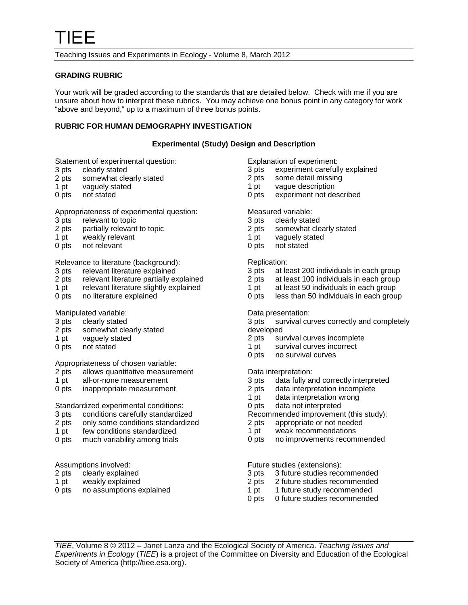Teaching Issues and Experiments in Ecology - Volume 8, March 2012

### **GRADING RUBRIC**

Your work will be graded according to the standards that are detailed below. Check with me if you are unsure about how to interpret these rubrics. You may achieve one bonus point in any category for work "above and beyond," up to a maximum of three bonus points.

## **RUBRIC FOR HUMAN DEMOGRAPHY INVESTIGATION**

### **Experimental (Study) Design and Description**

Statement of experimental question:<br>3 pts clearly stated

- 3 pts clearly stated<br>2 pts somewhat cle
- 2 pts somewhat clearly stated<br>1 pt vaguely stated
- 1 pt vaguely stated<br>0 pts not stated
- not stated

#### Appropriateness of experimental question:

- 3 pts relevant to topic<br>2 pts partially relevant
- 2 pts partially relevant to topic<br>1 pt weakly relevant
- 1 pt weakly relevant<br>0 pts not relevant
- not relevant

## Relevance to literature (background):

- 3 pts relevant literature explained<br>2 pts relevant literature partially ex-
- relevant literature partially explained
- 1 pt relevant literature slightly explained<br>0 pts no literature explained
- no literature explained

# Manipulated variable:<br>3 pts clearly stated

- 3 pts clearly stated<br>2 pts somewhat cle
- somewhat clearly stated
- 1 pt vaguely stated
- 0 pts not stated

Appropriateness of chosen variable:<br>2 pts allows quantitative measurer

- allows quantitative measurement
- 1 pt all-or-none measurement
- 0 pts inappropriate measurement

# Standardized experimental conditions:

- 3 pts conditions carefully standardized<br>2 pts only some conditions standardize
- only some conditions standardized
- 1 pt few conditions standardized
- 0 pts much variability among trials

#### Assumptions involved:

- 2 pts clearly explained
- 1 pt weakly explained
- 0 pts no assumptions explained
- Explanation of experiment:<br>3 pts experiment careful
- 3 pts experiment carefully explained<br>2 pts some detail missing
- 2 pts some detail missing<br>1 pt vague description
- vague description
- 0 pts experiment not described

#### Measured variable:

- 
- 3 pts clearly stated<br>2 pts somewhat cle somewhat clearly stated
- 1 pt vaguely stated
- 0 pts not stated

# Replication:<br>3 pts at le

- 3 pts at least 200 individuals in each group<br>2 pts at least 100 individuals in each group
- at least 100 individuals in each group
- 1 pt at least 50 individuals in each group
- 0 pts less than 50 individuals in each group

#### Data presentation:

3 pts survival curves correctly and completely developed

- 2 pts survival curves incomplete
- 1 pt survival curves incorrect
- 0 pts no survival curves

### Data interpretation:

- 3 pts data fully and correctly interpreted
- 2 pts data interpretation incomplete
- 1 pt data interpretation wrong<br>0 pts data not interpreted
- data not interpreted
- Recommended improvement (this study):<br>2 pts appropriate or not needed
- appropriate or not needed
- 1 pt weak recommendations
- 0 pts no improvements recommended

Future studies (extensions):

- 3 pts 3 future studies recommended<br>2 pts 2 future studies recommended
- 2 future studies recommended
- 1 pt 1 future study recommended
- 0 pts 0 future studies recommended

*TIEE*, Volume 8 © 2012 – Janet Lanza and the Ecological Society of America. *Teaching Issues and Experiments in Ecology* (*TIEE*) is a project of the Committee on Diversity and Education of the Ecological Society of America (http://tiee.esa.org).